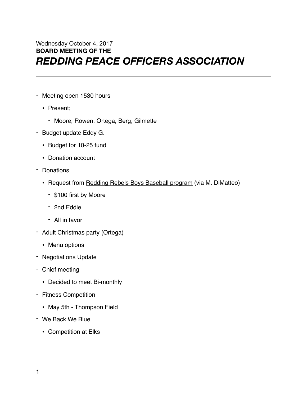## Wednesday October 4, 2017 **BOARD MEETING OF THE**  *REDDING PEACE OFFICERS ASSOCIATION*

- Meeting open 1530 hours
	- Present;
		- Moore, Rowen, Ortega, Berg, Gilmette
- Budget update Eddy G.
	- Budget for 10-25 fund
	- Donation account
- Donations
	- Request from Redding Rebels Boys Baseball program (via M. DiMatteo)
		- \$100 first by Moore
		- 2nd Eddie
		- All in favor
- Adult Christmas party (Ortega)
	- Menu options
- Negotiations Update
- Chief meeting
	- Decided to meet Bi-monthly
- Fitness Competition
	- May 5th Thompson Field
- We Back We Blue
	- Competition at Elks